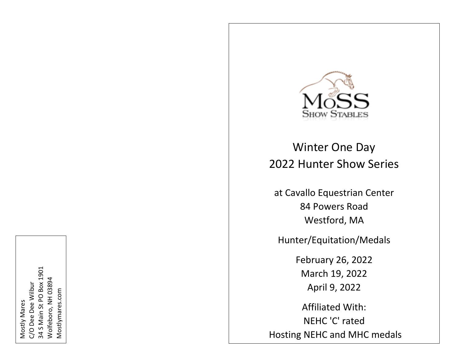

Winter One Day 20 2 2 Hunter Show Series

at Cavallo Equestrian Center 84 Powers Road Westford, MA

Hunter/Equitation/Medals

February 26, 2022 March 19, 2022 April 9, 2022

Affiliated With: NEHC 'C' rated Hosting NEHC and MHC medals

 S Main St PO Box 1901 Wolfeboro, NH 03894 Wolfeboro, NH 03894 C/O Dee Dee Wilbur C/O Dee Dee Wilbur Mostlymares.com Mostlymares.comMostly Mares Mostly Mares ನ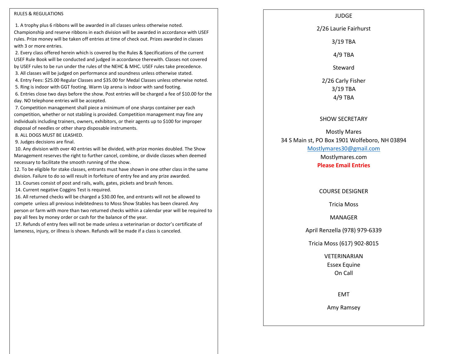#### RULES & REGULATIONS

1. A trophy plus 6 ribbons will be awarded in all classes unless otherwise noted. Championship and reserve ribbons in each division will be awarded in accordance with USEF rules. Prize money will be taken off entries at time of check out. Prizes awarded in classes with 3 or more entries.

2. Every class offered herein which is covered by the Rules & Specifications of the current USEF Rule Book will be conducted and judged in accordance therewith. Classes not covered by USEF rules to be run under the rules of the NEHC & MHC. USEF rules take precedence.

3. All classes will be judged on performance and soundness unless otherwise stated.

4. Entry Fees: \$25.00 Regular Classes and \$35.00 for Medal Classes unless otherwise noted.

5. Ring is indoor with GGT footing. Warm Up arena is indoor with sand footing.

6. Entries close two days before the show. Post entries will be charged a fee of \$10.00 for the day. NO telephone entries will be accepted.

7. Competition management shall piece a minimum of one sharps container per each competition, whether or not stabling is provided. Competition management may fine any individuals including trainers, owners, exhibitors, or their agents up to \$100 for improper disposal of needles or other sharp disposable instruments.

8. ALL DOGS MUST BE LEASHED.

9. Judges decisions are final.

10. Any division with over 40 entries will be divided, with prize monies doubled. The Show Management reserves the right to further cancel, combine, or divide classes when deemed necessary to facilitate the smooth running of the show.

12. To be eligible for stake classes, entrants must have shown in one other class in the same division. Failure to do so will result in forfeiture of entry fee and any prize awarded.

13. Courses consist of post and rails, walls, gates, pickets and brush fences.

14. Current negative Coggins Test is required.

16. All returned checks will be charged a \$30.00 fee, and entrants will not be allowed to compete unless all previous indebtedness to Moss Show Stables has been cleared. Any person or farm with more than two returned checks within a calendar year will be required to pay all fees by money order or cash for the balance of the year.

17. Refunds of entry fees will not be made unless a veterinarian or doctor's certificate of lameness, injury, or illness is shown. Refunds will be made if a class is canceled.

#### JUDGE

2/26 Laurie Fairhurst

3/19 TBA

4/9 TBA

Steward

2/26 Carly Fisher 3/19 TBA 4/9 TBA

#### SHOW SECRETARY

Mostly Mares 34 S Main st, PO Box 1901 Wolfeboro, NH 03894 [Mostlymares30@gmail.com](mailto:Mostlymares30@gmail.com) Mostlymares.com

**Please Email Entries**

COURSE DESIGNER

Tricia Moss

MANAGER

April Renzella (978) 979-6339

Tricia Moss (617) 902-8015

VETERINARIAN Essex Equine On Call

EMT

Amy Ramsey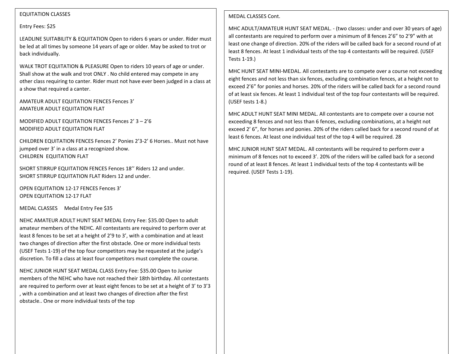# EQUITATION CLASSES

### Entry Fees: \$25

LEADLINE SUITABILITY & EQUITATION Open to riders 6 years or under. Rider must be led at all times by someone 14 years of age or older. May be asked to trot or back individually.

WALK TROT EQUITATION & PLEASURE Open to riders 10 years of age or under. Shall show at the walk and trot ONLY . No child entered may compete in any other class requiring to canter. Rider must not have ever been judged in a class at a show that required a canter.

AMATEUR ADULT EQUITATION FENCES Fences 3' AMATEUR ADULT EQUITATION FLAT

MODIFIED ADULT EQUITATION FENCES Fences 2' 3 – 2'6 MODIFIED ADULT EQUITATION FLAT

CHILDREN EQUITATION FENCES Fences 2' Ponies 2'3-2' 6 Horses.. Must not have jumped over 3' in a class at a recognized show. CHILDREN EQUITATION FLAT

SHORT STIRRUP EQUITATION FENCES Fences 18'' Riders 12 and under. SHORT STIRRUP EQUITATION FLAT Riders 12 and under.

OPEN EQUITATION 12-17 FENCES Fences 3' OPEN EQUITATION 12-17 FLAT

MEDAL CLASSES Medal Entry Fee \$35

NEHC AMATEUR ADULT HUNT SEAT MEDAL Entry Fee: \$35.00 Open to adult amateur members of the NEHC. All contestants are required to perform over at least 8 fences to be set at a height of 2'9 to 3', with a combination and at least two changes of direction after the first obstacle. One or more individual tests (USEF Tests 1-19) of the top four competitors may be requested at the judge's discretion. To fill a class at least four competitors must complete the course.

NEHC JUNIOR HUNT SEAT MEDAL CLASS Entry Fee: \$35.00 Open to Junior members of the NEHC who have not reached their 18th birthday. All contestants are required to perform over at least eight fences to be set at a height of 3' to 3'3 , with a combination and at least two changes of direction after the first obstacle.. One or more individual tests of the top

# MEDAL CLASSES Cont.

MHC ADULT/AMATEUR HUNT SEAT MEDAL. - (two classes: under and over 30 years of age) all contestants are required to perform over a minimum of 8 fences 2'6" to 2'9" with at least one change of direction. 20% of the riders will be called back for a second round of at least 8 fences. At least 1 individual tests of the top 4 contestants will be required. (USEF Tests 1-19.)

MHC HUNT SEAT MINI-MEDAL. All contestants are to compete over a course not exceeding eight fences and not less than six fences, excluding combination fences, at a height not to exceed 2'6" for ponies and horses. 20% of the riders will be called back for a second round of at least six fences. At least 1 individual test of the top four contestants will be required. (USEF tests 1-8.)

MHC ADULT HUNT SEAT MINI MEDAL. All contestants are to compete over a course not exceeding 8 fences and not less than 6 fences, excluding combinations, at a height not exceed 2' 6", for horses and ponies. 20% of the riders called back for a second round of at least 6 fences. At least one individual test of the top 4 will be required. 28

MHC JUNIOR HUNT SEAT MEDAL. All contestants will be required to perform over a minimum of 8 fences not to exceed 3'. 20% of the riders will be called back for a second round of at least 8 fences. At least 1 individual tests of the top 4 contestants will be required. (USEF Tests 1-19).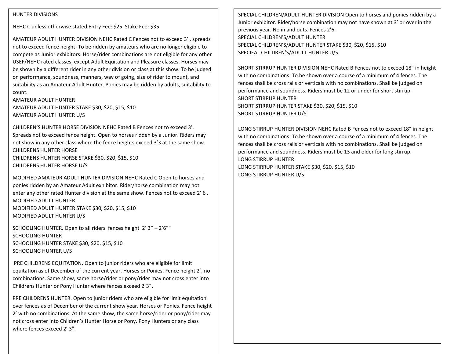### HUNTER DIVISIONS

NEHC C unless otherwise stated Entry Fee: \$25 Stake Fee: \$35

AMATEUR ADULT HUNTER DIVISION NEHC Rated C Fences not to exceed 3' , spreads not to exceed fence height. To be ridden by amateurs who are no longer eligible to compete as Junior exhibitors. Horse/rider combinations are not eligible for any other USEF/NEHC rated classes, except Adult Equitation and Pleasure classes. Horses may be shown by a different rider in any other division or class at this show. To be judged on performance, soundness, manners, way of going, size of rider to mount, and suitability as an Amateur Adult Hunter. Ponies may be ridden by adults, suitability to count.

AMATEUR ADULT HUNTER AMATEUR ADULT HUNTER STAKE \$30, \$20, \$15, \$10 AMATEUR ADULT HUNTER U/S

CHILDREN'S HUNTER HORSE DIVISION NEHC Rated B Fences not to exceed 3'. Spreads not to exceed fence height. Open to horses ridden by a Junior. Riders may not show in any other class where the fence heights exceed 3'3 at the same show. CHILDRENS HUNTER HORSE CHILDRENS HUNTER HORSE STAKE \$30, \$20, \$15, \$10

CHILDRENS HUNTER HORSE U/S

MODIFIED AMATEUR ADULT HUNTER DIVISION NEHC Rated C Open to horses and ponies ridden by an Amateur Adult exhibitor. Rider/horse combination may not enter any other rated Hunter division at the same show. Fences not to exceed 2' 6 . MODIFIED ADULT HUNTER MODIFIED ADULT HUNTER STAKE \$30, \$20, \$15, \$10 MODIFIED ADULT HUNTER U/S

SCHOOLING HUNTER. Open to all riders fences height 2' 3" – 2'6"" SCHOOLING HUNTER SCHOOLING HUNTER STAKE \$30, \$20, \$15, \$10 SCHOOLING HUNTER U/S

PRE CHILDRENS EQUITATION. Open to junior riders who are eligible for limit equitation as of December of the current year. Horses or Ponies. Fence height 2´, no combinations. Same show, same horse/rider or pony/rider may not cross enter into Childrens Hunter or Pony Hunter where fences exceed 2´3˝.

PRE CHILDRENS HUNTER. Open to junior riders who are eligible for limit equitation over fences as of December of the current show year. Horses or Ponies. Fence height 2' with no combinations. At the same show, the same horse/rider or pony/rider may not cross enter into Children's Hunter Horse or Pony. Pony Hunters or any class where fences exceed 2' 3".

SPECIAL CHILDREN/ADULT HUNTER DIVISION Open to horses and ponies ridden by a Junior exhibitor. Rider/horse combination may not have shown at 3' or over in the previous year. No in and outs. Fences 2'6. SPECIAL CHILDREN'S/ADULT HUNTER SPECIAL CHILDREN'S/ADULT HUNTER STAKE \$30, \$20, \$15, \$10 SPECIEAL CHILDREN'S/ADULT HUNTER U/S

SHORT STIRRUP HUNTER DIVISION NEHC Rated B Fences not to exceed 18" in height with no combinations. To be shown over a course of a minimum of 4 fences. The fences shall be cross rails or verticals with no combinations. Shall be judged on performance and soundness. Riders must be 12 or under for short stirrup. SHORT STIRRUP HUNTER SHORT STIRRUP HUNTER STAKE \$30, \$20, \$15, \$10 SHORT STIRRUP HUNTER U/S

LONG STIRRUP HUNTER DIVISION NEHC Rated B Fences not to exceed 18" in height with no combinations. To be shown over a course of a minimum of 4 fences. The fences shall be cross rails or verticals with no combinations. Shall be judged on performance and soundness. Riders must be 13 and older for long stirrup. LONG STIRRUP HUNTER LONG STIRRUP HUNTER STAKE \$30, \$20, \$15, \$10 LONG STIRRUP HUNTER U/S